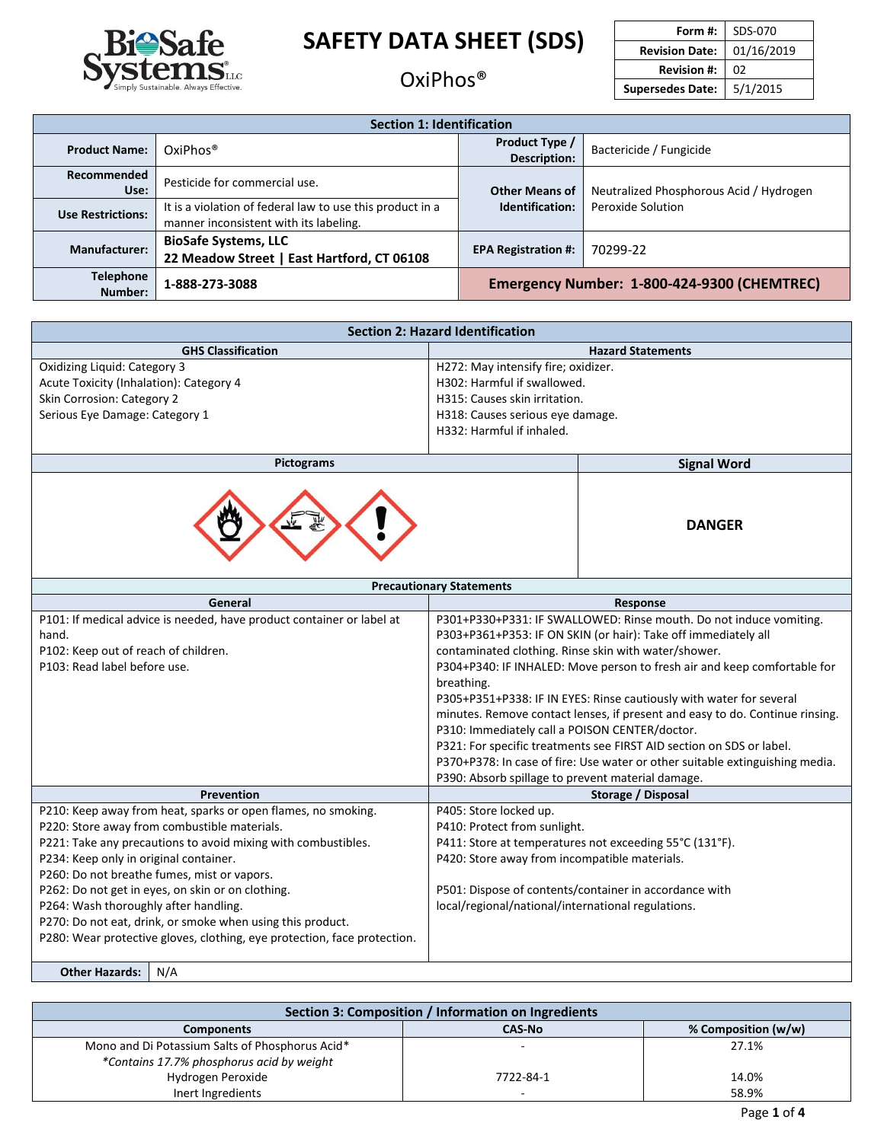

### OxiPhos®

| Form #:                 | SDS-070    |
|-------------------------|------------|
| <b>Revision Date:</b>   | 01/16/2019 |
| <b>Revision #:</b>      | 02         |
| <b>Supersedes Date:</b> | 5/1/2015   |

| <b>Section 1: Identification</b> |                                                                                                     |                                             |                                         |  |
|----------------------------------|-----------------------------------------------------------------------------------------------------|---------------------------------------------|-----------------------------------------|--|
| <b>Product Name:</b>             | $OxiPhos^{\circledast}$                                                                             | Product Type /<br><b>Description:</b>       | Bactericide / Fungicide                 |  |
| Recommended<br>Use:              | Pesticide for commercial use.                                                                       | <b>Other Means of</b>                       | Neutralized Phosphorous Acid / Hydrogen |  |
| <b>Use Restrictions:</b>         | It is a violation of federal law to use this product in a<br>manner inconsistent with its labeling. | Identification:                             | Peroxide Solution                       |  |
| <b>Manufacturer:</b>             | <b>BioSafe Systems, LLC</b><br>22 Meadow Street   East Hartford, CT 06108                           | 70299-22<br><b>EPA Registration #:</b>      |                                         |  |
| <b>Telephone</b><br>Number:      | 1-888-273-3088                                                                                      | Emergency Number: 1-800-424-9300 (CHEMTREC) |                                         |  |

| <b>Section 2: Hazard Identification</b>                                                    |                                                                                                                                                     |  |  |
|--------------------------------------------------------------------------------------------|-----------------------------------------------------------------------------------------------------------------------------------------------------|--|--|
| <b>GHS Classification</b>                                                                  | <b>Hazard Statements</b>                                                                                                                            |  |  |
| Oxidizing Liquid: Category 3                                                               | H272: May intensify fire; oxidizer.                                                                                                                 |  |  |
| Acute Toxicity (Inhalation): Category 4                                                    | H302: Harmful if swallowed.                                                                                                                         |  |  |
| Skin Corrosion: Category 2                                                                 | H315: Causes skin irritation.                                                                                                                       |  |  |
| Serious Eye Damage: Category 1                                                             | H318: Causes serious eye damage.                                                                                                                    |  |  |
|                                                                                            | H332: Harmful if inhaled.                                                                                                                           |  |  |
| <b>Pictograms</b>                                                                          | <b>Signal Word</b>                                                                                                                                  |  |  |
| <b>DANGER</b>                                                                              |                                                                                                                                                     |  |  |
|                                                                                            | <b>Precautionary Statements</b>                                                                                                                     |  |  |
| General                                                                                    | Response                                                                                                                                            |  |  |
| P101: If medical advice is needed, have product container or label at                      | P301+P330+P331: IF SWALLOWED: Rinse mouth. Do not induce vomiting.                                                                                  |  |  |
| hand.                                                                                      | P303+P361+P353: IF ON SKIN (or hair): Take off immediately all                                                                                      |  |  |
| P102: Keep out of reach of children.                                                       | contaminated clothing. Rinse skin with water/shower.                                                                                                |  |  |
| P103: Read label before use.                                                               | P304+P340: IF INHALED: Move person to fresh air and keep comfortable for                                                                            |  |  |
|                                                                                            | breathing.                                                                                                                                          |  |  |
|                                                                                            | P305+P351+P338: IF IN EYES: Rinse cautiously with water for several<br>minutes. Remove contact lenses, if present and easy to do. Continue rinsing. |  |  |
|                                                                                            | P310: Immediately call a POISON CENTER/doctor.                                                                                                      |  |  |
|                                                                                            |                                                                                                                                                     |  |  |
|                                                                                            | P321: For specific treatments see FIRST AID section on SDS or label.                                                                                |  |  |
|                                                                                            | P370+P378: In case of fire: Use water or other suitable extinguishing media.                                                                        |  |  |
|                                                                                            | P390: Absorb spillage to prevent material damage.<br>Storage / Disposal                                                                             |  |  |
| Prevention<br>P210: Keep away from heat, sparks or open flames, no smoking.                |                                                                                                                                                     |  |  |
| P220: Store away from combustible materials.                                               | P405: Store locked up.<br>P410: Protect from sunlight.                                                                                              |  |  |
| P221: Take any precautions to avoid mixing with combustibles.                              | P411: Store at temperatures not exceeding 55°C (131°F).                                                                                             |  |  |
| P234: Keep only in original container.                                                     | P420: Store away from incompatible materials.                                                                                                       |  |  |
|                                                                                            |                                                                                                                                                     |  |  |
| P260: Do not breathe fumes, mist or vapors.                                                | P501: Dispose of contents/container in accordance with                                                                                              |  |  |
| P262: Do not get in eyes, on skin or on clothing.<br>P264: Wash thoroughly after handling. | local/regional/national/international regulations.                                                                                                  |  |  |
| P270: Do not eat, drink, or smoke when using this product.                                 |                                                                                                                                                     |  |  |
| P280: Wear protective gloves, clothing, eye protection, face protection.                   |                                                                                                                                                     |  |  |
|                                                                                            |                                                                                                                                                     |  |  |
| <b>Other Hazards:</b><br>N/A                                                               |                                                                                                                                                     |  |  |

| Section 3: Composition / Information on Ingredients |           |       |  |  |
|-----------------------------------------------------|-----------|-------|--|--|
| % Composition (w/w)<br>CAS-No<br><b>Components</b>  |           |       |  |  |
| Mono and Di Potassium Salts of Phosphorus Acid*     |           | 27.1% |  |  |
| *Contains 17.7% phosphorus acid by weight           |           |       |  |  |
| Hydrogen Peroxide                                   | 7722-84-1 | 14.0% |  |  |
| Inert Ingredients                                   |           | 58.9% |  |  |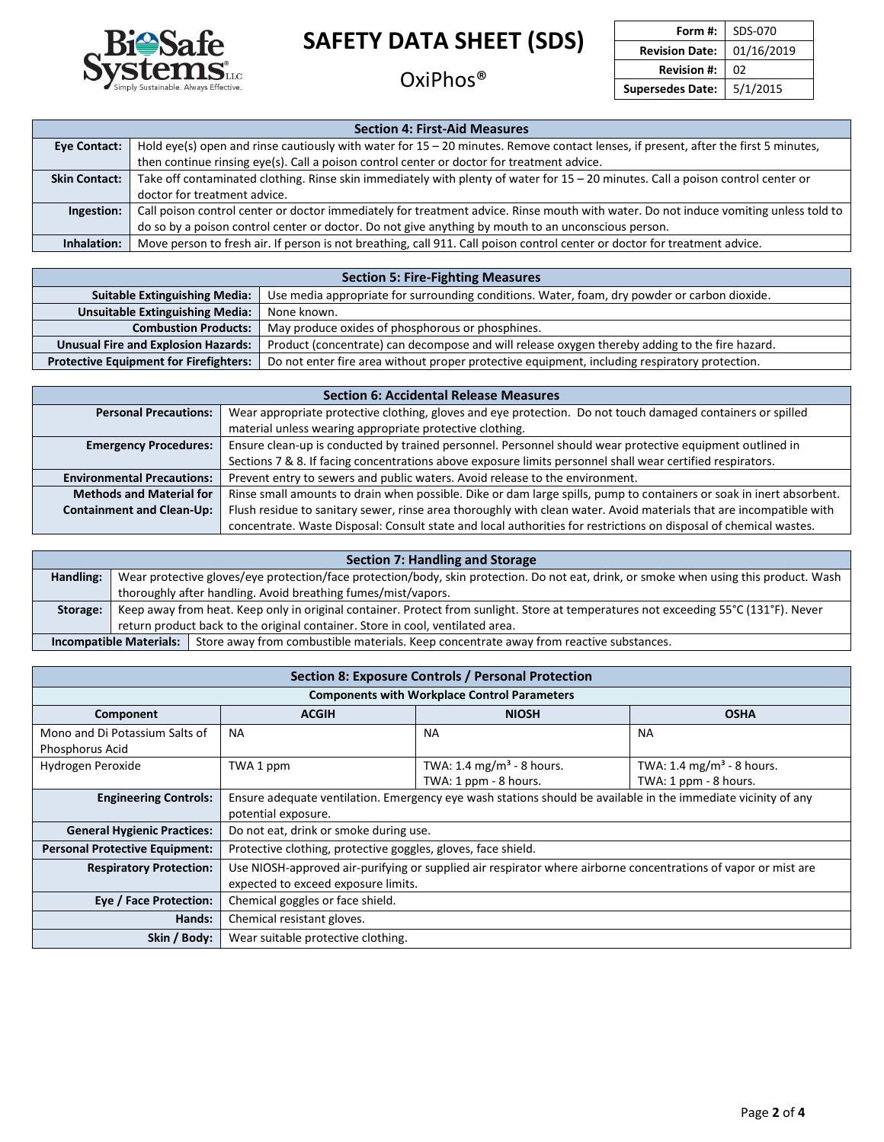

OxiPhos®

| Form #:                 | SDS-070    |
|-------------------------|------------|
| <b>Revision Date:</b>   | 01/16/2019 |
| <b>Revision #:</b>      | 02         |
| <b>Supersedes Date:</b> | 5/1/2015   |

| <b>Section 4: First-Aid Measures</b> |                                                                                                                                      |  |  |
|--------------------------------------|--------------------------------------------------------------------------------------------------------------------------------------|--|--|
| Eye Contact:                         | Hold eye(s) open and rinse cautiously with water for 15 - 20 minutes. Remove contact lenses, if present, after the first 5 minutes,  |  |  |
|                                      | then continue rinsing eye(s). Call a poison control center or doctor for treatment advice.                                           |  |  |
| <b>Skin Contact:</b>                 | Take off contaminated clothing. Rinse skin immediately with plenty of water for 15 - 20 minutes. Call a poison control center or     |  |  |
|                                      | doctor for treatment advice.                                                                                                         |  |  |
| Ingestion:                           | Call poison control center or doctor immediately for treatment advice. Rinse mouth with water. Do not induce vomiting unless told to |  |  |
|                                      | do so by a poison control center or doctor. Do not give anything by mouth to an unconscious person.                                  |  |  |
| Inhalation:                          | Move person to fresh air. If person is not breathing, call 911. Call poison control center or doctor for treatment advice.           |  |  |

#### **Section 5: Fire-Fighting Measures**

| <b>Suitable Extinguishing Media:</b>          | Use media appropriate for surrounding conditions. Water, foam, dry powder or carbon dioxide.   |
|-----------------------------------------------|------------------------------------------------------------------------------------------------|
| <b>Unsuitable Extinguishing Media:</b>        | None known.                                                                                    |
| <b>Combustion Products:</b>                   | May produce oxides of phosphorous or phosphines.                                               |
| <b>Unusual Fire and Explosion Hazards:</b>    | Product (concentrate) can decompose and will release oxygen thereby adding to the fire hazard. |
| <b>Protective Equipment for Firefighters:</b> | Do not enter fire area without proper protective equipment, including respiratory protection.  |

| <b>Section 6: Accidental Release Measures</b> |                                                                                                                      |  |  |
|-----------------------------------------------|----------------------------------------------------------------------------------------------------------------------|--|--|
| <b>Personal Precautions:</b>                  | Wear appropriate protective clothing, gloves and eye protection. Do not touch damaged containers or spilled          |  |  |
|                                               | material unless wearing appropriate protective clothing.                                                             |  |  |
| <b>Emergency Procedures:</b>                  | Ensure clean-up is conducted by trained personnel. Personnel should wear protective equipment outlined in            |  |  |
|                                               | Sections 7 & 8. If facing concentrations above exposure limits personnel shall wear certified respirators.           |  |  |
| <b>Environmental Precautions:</b>             | Prevent entry to sewers and public waters. Avoid release to the environment.                                         |  |  |
| <b>Methods and Material for</b>               | Rinse small amounts to drain when possible. Dike or dam large spills, pump to containers or soak in inert absorbent. |  |  |
| <b>Containment and Clean-Up:</b>              | Flush residue to sanitary sewer, rinse area thoroughly with clean water. Avoid materials that are incompatible with  |  |  |
|                                               | concentrate. Waste Disposal: Consult state and local authorities for restrictions on disposal of chemical wastes.    |  |  |

| Section 7: Handling and Storage |                                |                                                                                                                                        |  |
|---------------------------------|--------------------------------|----------------------------------------------------------------------------------------------------------------------------------------|--|
| Handling:                       |                                | Wear protective gloves/eye protection/face protection/body, skin protection. Do not eat, drink, or smoke when using this product. Wash |  |
|                                 |                                | thoroughly after handling. Avoid breathing fumes/mist/vapors.                                                                          |  |
| Storage:                        |                                | Keep away from heat. Keep only in original container. Protect from sunlight. Store at temperatures not exceeding 55°C (131°F). Never   |  |
|                                 |                                | return product back to the original container. Store in cool, ventilated area.                                                         |  |
|                                 | <b>Incompatible Materials:</b> | Store away from combustible materials. Keep concentrate away from reactive substances.                                                 |  |

| Section 8: Exposure Controls / Personal Protection |                                                                                                                                                       |           |           |  |  |  |
|----------------------------------------------------|-------------------------------------------------------------------------------------------------------------------------------------------------------|-----------|-----------|--|--|--|
|                                                    | <b>Components with Workplace Control Parameters</b>                                                                                                   |           |           |  |  |  |
| Component                                          | <b>ACGIH</b><br><b>NIOSH</b><br><b>OSHA</b>                                                                                                           |           |           |  |  |  |
| Mono and Di Potassium Salts of<br>Phosphorus Acid  | <b>NA</b>                                                                                                                                             | <b>NA</b> | <b>NA</b> |  |  |  |
| Hydrogen Peroxide                                  | TWA: 1.4 mg/m <sup>3</sup> - 8 hours.<br>TWA: 1.4 mg/m <sup>3</sup> - 8 hours.<br>TWA 1 ppm<br>TWA: 1 ppm - 8 hours.<br>TWA: 1 ppm - 8 hours.         |           |           |  |  |  |
| <b>Engineering Controls:</b>                       | Ensure adequate ventilation. Emergency eye wash stations should be available in the immediate vicinity of any<br>potential exposure.                  |           |           |  |  |  |
| <b>General Hygienic Practices:</b>                 | Do not eat, drink or smoke during use.                                                                                                                |           |           |  |  |  |
| <b>Personal Protective Equipment:</b>              | Protective clothing, protective goggles, gloves, face shield.                                                                                         |           |           |  |  |  |
| <b>Respiratory Protection:</b>                     | Use NIOSH-approved air-purifying or supplied air respirator where airborne concentrations of vapor or mist are<br>expected to exceed exposure limits. |           |           |  |  |  |
| Eye / Face Protection:                             | Chemical goggles or face shield.                                                                                                                      |           |           |  |  |  |
| Hands:                                             | Chemical resistant gloves.                                                                                                                            |           |           |  |  |  |
| Skin / Body:                                       | Wear suitable protective clothing.                                                                                                                    |           |           |  |  |  |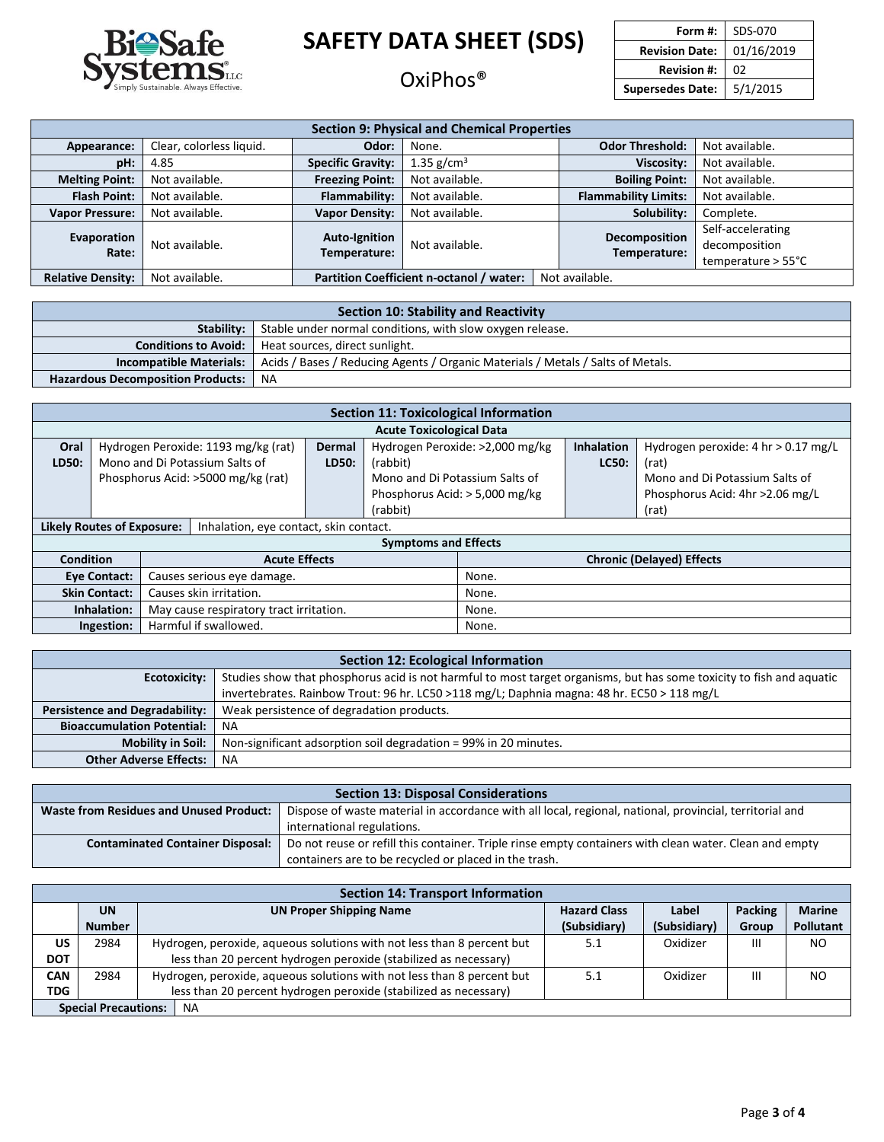

### OxiPhos®

| Form #:                 | SDS-070    |
|-------------------------|------------|
| <b>Revision Date:</b>   | 01/16/2019 |
| <b>Revision #:</b>      | 02         |
| <b>Supersedes Date:</b> | 5/1/2015   |

 $\mathsf{L}% _{0}\left( \mathcal{N}\right) \equiv\mathsf{L}_{0}\left( \mathcal{N}\right)$ 

| <b>Section 9: Physical and Chemical Properties</b> |                          |                                                            |                |  |                               |                                                                    |
|----------------------------------------------------|--------------------------|------------------------------------------------------------|----------------|--|-------------------------------|--------------------------------------------------------------------|
| Appearance:                                        | Clear, colorless liquid. | Odor:                                                      | None.          |  | <b>Odor Threshold:</b>        | Not available.                                                     |
| pH:                                                | 4.85                     | <b>Specific Gravity:</b>                                   | 1.35 $g/cm3$   |  |                               | Not available.                                                     |
| <b>Melting Point:</b>                              | Not available.           | <b>Freezing Point:</b>                                     | Not available. |  | <b>Boiling Point:</b>         | Not available.                                                     |
| <b>Flash Point:</b>                                | Not available.           | Flammability:                                              | Not available. |  | <b>Flammability Limits:</b>   | Not available.                                                     |
| <b>Vapor Pressure:</b>                             | Not available.           | <b>Vapor Density:</b>                                      | Not available. |  | Solubility:                   | Complete.                                                          |
| Evaporation<br>Rate:                               | Not available.           | <b>Auto-Ignition</b><br>Temperature:                       | Not available. |  | Decomposition<br>Temperature: | Self-accelerating<br>decomposition<br>temperature $> 55^{\circ}$ C |
| <b>Relative Density:</b>                           | Not available.           | Partition Coefficient n-octanol / water:<br>Not available. |                |  |                               |                                                                    |

| Section 10: Stability and Reactivity                                    |                                                                                 |  |  |  |
|-------------------------------------------------------------------------|---------------------------------------------------------------------------------|--|--|--|
| Stable under normal conditions, with slow oxygen release.<br>Stability: |                                                                                 |  |  |  |
| <b>Conditions to Avoid:</b><br>Heat sources, direct sunlight.           |                                                                                 |  |  |  |
| <b>Incompatible Materials:</b>                                          | Acids / Bases / Reducing Agents / Organic Materials / Metals / Salts of Metals. |  |  |  |
| <b>Hazardous Decomposition Products:</b>                                | ΝA                                                                              |  |  |  |

| <b>Section 11: Toxicological Information</b>                                |                                                   |  |                                     |                                |                                 |                                  |                                  |                                     |
|-----------------------------------------------------------------------------|---------------------------------------------------|--|-------------------------------------|--------------------------------|---------------------------------|----------------------------------|----------------------------------|-------------------------------------|
|                                                                             |                                                   |  |                                     |                                | <b>Acute Toxicological Data</b> |                                  |                                  |                                     |
| Oral                                                                        |                                                   |  | Hydrogen Peroxide: 1193 mg/kg (rat) | <b>Dermal</b>                  |                                 | Hydrogen Peroxide: >2,000 mg/kg  | <b>Inhalation</b>                | Hydrogen peroxide: 4 hr > 0.17 mg/L |
| LD50:                                                                       |                                                   |  | Mono and Di Potassium Salts of      | LD50:                          | (rabbit)                        |                                  | LC50:                            | (rat)                               |
|                                                                             | Phosphorus Acid: >5000 mg/kg (rat)                |  |                                     | Mono and Di Potassium Salts of |                                 |                                  | Mono and Di Potassium Salts of   |                                     |
|                                                                             | Phosphorus Acid: $>$ 5,000 mg/kg                  |  |                                     |                                |                                 | Phosphorus Acid: 4hr > 2.06 mg/L |                                  |                                     |
|                                                                             |                                                   |  |                                     | (rabbit)                       |                                 |                                  | (rat)                            |                                     |
| <b>Likely Routes of Exposure:</b><br>Inhalation, eye contact, skin contact. |                                                   |  |                                     |                                |                                 |                                  |                                  |                                     |
|                                                                             | <b>Symptoms and Effects</b>                       |  |                                     |                                |                                 |                                  |                                  |                                     |
|                                                                             | <b>Condition</b><br><b>Acute Effects</b>          |  |                                     |                                |                                 |                                  | <b>Chronic (Delayed) Effects</b> |                                     |
|                                                                             | Causes serious eye damage.<br><b>Eye Contact:</b> |  |                                     |                                | None.                           |                                  |                                  |                                     |
| Causes skin irritation.<br><b>Skin Contact:</b>                             |                                                   |  |                                     | None.                          |                                 |                                  |                                  |                                     |
| Inhalation:<br>May cause respiratory tract irritation.                      |                                                   |  | None.                               |                                |                                 |                                  |                                  |                                     |
|                                                                             | Harmful if swallowed.<br>Ingestion:               |  |                                     |                                | None.                           |                                  |                                  |                                     |

| <b>Section 12: Ecological Information</b>                                                                                            |                                                                                             |  |  |  |  |
|--------------------------------------------------------------------------------------------------------------------------------------|---------------------------------------------------------------------------------------------|--|--|--|--|
| Studies show that phosphorus acid is not harmful to most target organisms, but has some toxicity to fish and aquatic<br>Ecotoxicity: |                                                                                             |  |  |  |  |
|                                                                                                                                      | invertebrates. Rainbow Trout: 96 hr. LC50 > 118 mg/L; Daphnia magna: 48 hr. EC50 > 118 mg/L |  |  |  |  |
| <b>Persistence and Degradability:</b>                                                                                                | Weak persistence of degradation products.                                                   |  |  |  |  |
| <b>Bioaccumulation Potential:</b>                                                                                                    | <b>NA</b>                                                                                   |  |  |  |  |
| <b>Mobility in Soil:</b>                                                                                                             | Non-significant adsorption soil degradation = 99% in 20 minutes.                            |  |  |  |  |
| <b>Other Adverse Effects:</b>                                                                                                        | <b>NA</b>                                                                                   |  |  |  |  |

| <b>Section 13: Disposal Considerations</b>                                                                                                                |                                                                                                        |  |  |  |  |
|-----------------------------------------------------------------------------------------------------------------------------------------------------------|--------------------------------------------------------------------------------------------------------|--|--|--|--|
| Dispose of waste material in accordance with all local, regional, national, provincial, territorial and<br><b>Waste from Residues and Unused Product:</b> |                                                                                                        |  |  |  |  |
| international regulations.                                                                                                                                |                                                                                                        |  |  |  |  |
| <b>Contaminated Container Disposal:</b>                                                                                                                   | Do not reuse or refill this container. Triple rinse empty containers with clean water. Clean and empty |  |  |  |  |
| containers are to be recycled or placed in the trash.                                                                                                     |                                                                                                        |  |  |  |  |

| <b>Section 14: Transport Information</b> |                                          |                                                                  |                                                                        |                     |              |                |               |  |
|------------------------------------------|------------------------------------------|------------------------------------------------------------------|------------------------------------------------------------------------|---------------------|--------------|----------------|---------------|--|
|                                          | <b>UN</b>                                |                                                                  | <b>UN Proper Shipping Name</b>                                         | <b>Hazard Class</b> | Label        | <b>Packing</b> | <b>Marine</b> |  |
|                                          | <b>Number</b>                            |                                                                  |                                                                        | (Subsidiary)        | (Subsidiary) | Group          | Pollutant     |  |
| US                                       | 2984                                     |                                                                  | Hydrogen, peroxide, aqueous solutions with not less than 8 percent but | 5.1                 | Oxidizer     | Ш              | NO.           |  |
| <b>DOT</b>                               |                                          | less than 20 percent hydrogen peroxide (stabilized as necessary) |                                                                        |                     |              |                |               |  |
| <b>CAN</b>                               | 2984                                     |                                                                  | Hydrogen, peroxide, aqueous solutions with not less than 8 percent but | 5.1                 | Oxidizer     | Ш              | NO.           |  |
| <b>TDG</b>                               |                                          | less than 20 percent hydrogen peroxide (stabilized as necessary) |                                                                        |                     |              |                |               |  |
|                                          | <b>Special Precautions:</b><br><b>NA</b> |                                                                  |                                                                        |                     |              |                |               |  |